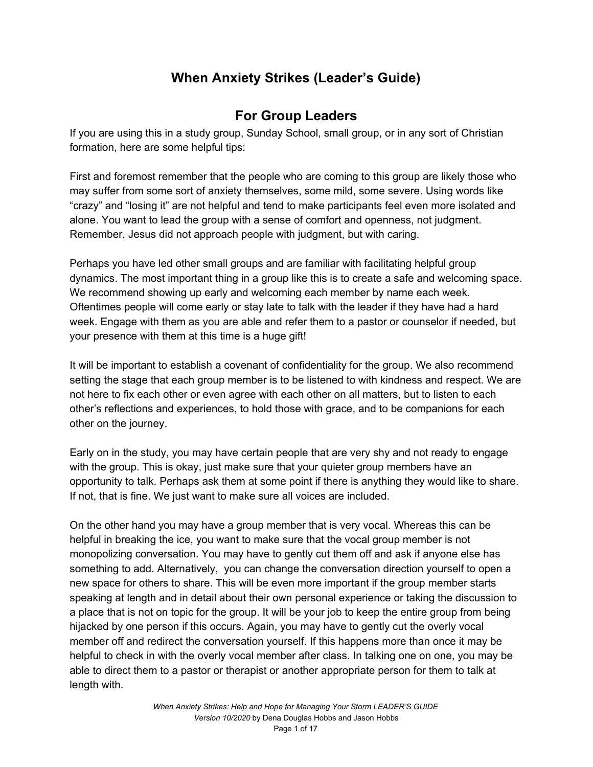# **When Anxiety Strikes (Leader's Guide)**

# **For Group Leaders**

If you are using this in a study group, Sunday School, small group, or in any sort of Christian formation, here are some helpful tips:

First and foremost remember that the people who are coming to this group are likely those who may suffer from some sort of anxiety themselves, some mild, some severe. Using words like "crazy" and "losing it" are not helpful and tend to make participants feel even more isolated and alone. You want to lead the group with a sense of comfort and openness, not judgment. Remember, Jesus did not approach people with judgment, but with caring.

Perhaps you have led other small groups and are familiar with facilitating helpful group dynamics. The most important thing in a group like this is to create a safe and welcoming space. We recommend showing up early and welcoming each member by name each week. Oftentimes people will come early or stay late to talk with the leader if they have had a hard week. Engage with them as you are able and refer them to a pastor or counselor if needed, but your presence with them at this time is a huge gift!

It will be important to establish a covenant of confidentiality for the group. We also recommend setting the stage that each group member is to be listened to with kindness and respect. We are not here to fix each other or even agree with each other on all matters, but to listen to each other's reflections and experiences, to hold those with grace, and to be companions for each other on the journey.

Early on in the study, you may have certain people that are very shy and not ready to engage with the group. This is okay, just make sure that your quieter group members have an opportunity to talk. Perhaps ask them at some point if there is anything they would like to share. If not, that is fine. We just want to make sure all voices are included.

On the other hand you may have a group member that is very vocal. Whereas this can be helpful in breaking the ice, you want to make sure that the vocal group member is not monopolizing conversation. You may have to gently cut them off and ask if anyone else has something to add. Alternatively, you can change the conversation direction yourself to open a new space for others to share. This will be even more important if the group member starts speaking at length and in detail about their own personal experience or taking the discussion to a place that is not on topic for the group. It will be your job to keep the entire group from being hijacked by one person if this occurs. Again, you may have to gently cut the overly vocal member off and redirect the conversation yourself. If this happens more than once it may be helpful to check in with the overly vocal member after class. In talking one on one, you may be able to direct them to a pastor or therapist or another appropriate person for them to talk at length with.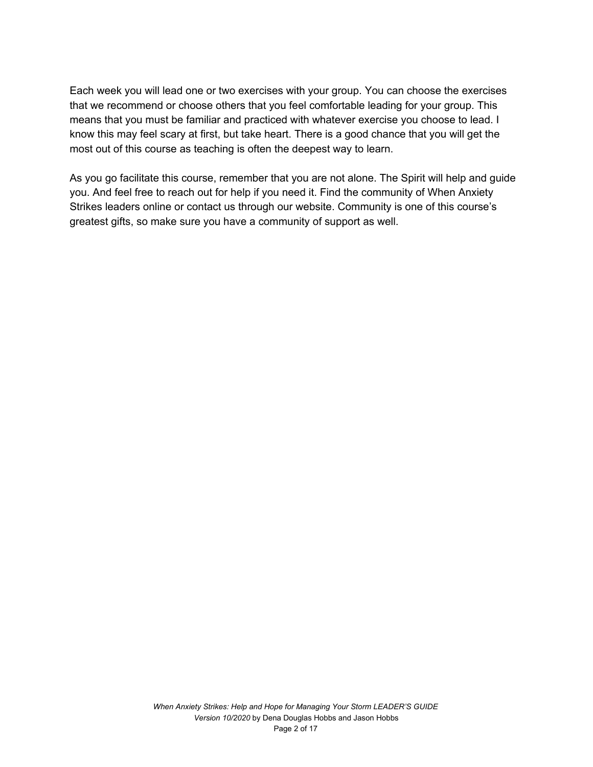Each week you will lead one or two exercises with your group. You can choose the exercises that we recommend or choose others that you feel comfortable leading for your group. This means that you must be familiar and practiced with whatever exercise you choose to lead. I know this may feel scary at first, but take heart. There is a good chance that you will get the most out of this course as teaching is often the deepest way to learn.

As you go facilitate this course, remember that you are not alone. The Spirit will help and guide you. And feel free to reach out for help if you need it. Find the community of When Anxiety Strikes leaders online or contact us through our website. Community is one of this course's greatest gifts, so make sure you have a community of support as well.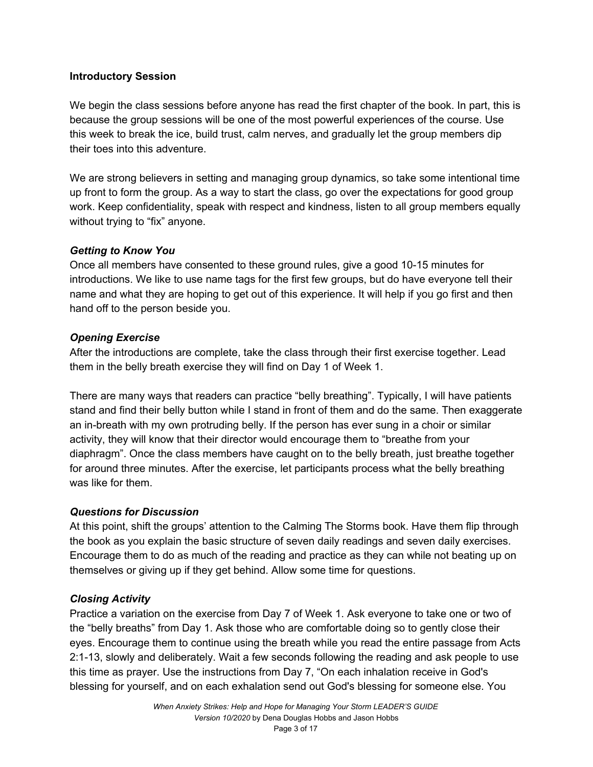## **Introductory Session**

We begin the class sessions before anyone has read the first chapter of the book. In part, this is because the group sessions will be one of the most powerful experiences of the course. Use this week to break the ice, build trust, calm nerves, and gradually let the group members dip their toes into this adventure.

We are strong believers in setting and managing group dynamics, so take some intentional time up front to form the group. As a way to start the class, go over the expectations for good group work. Keep confidentiality, speak with respect and kindness, listen to all group members equally without trying to "fix" anyone.

## *Getting to Know You*

Once all members have consented to these ground rules, give a good 10-15 minutes for introductions. We like to use name tags for the first few groups, but do have everyone tell their name and what they are hoping to get out of this experience. It will help if you go first and then hand off to the person beside you.

## *Opening Exercise*

After the introductions are complete, take the class through their first exercise together. Lead them in the belly breath exercise they will find on Day 1 of Week 1.

There are many ways that readers can practice "belly breathing". Typically, I will have patients stand and find their belly button while I stand in front of them and do the same. Then exaggerate an in-breath with my own protruding belly. If the person has ever sung in a choir or similar activity, they will know that their director would encourage them to "breathe from your diaphragm". Once the class members have caught on to the belly breath, just breathe together for around three minutes. After the exercise, let participants process what the belly breathing was like for them.

#### *Questions for Discussion*

At this point, shift the groups' attention to the Calming The Storms book. Have them flip through the book as you explain the basic structure of seven daily readings and seven daily exercises. Encourage them to do as much of the reading and practice as they can while not beating up on themselves or giving up if they get behind. Allow some time for questions.

# *Closing Activity*

Practice a variation on the exercise from Day 7 of Week 1. Ask everyone to take one or two of the "belly breaths" from Day 1. Ask those who are comfortable doing so to gently close their eyes. Encourage them to continue using the breath while you read the entire passage from Acts 2:1-13, slowly and deliberately. Wait a few seconds following the reading and ask people to use this time as prayer. Use the instructions from Day 7, "On each inhalation receive in God's blessing for yourself, and on each exhalation send out God's blessing for someone else. You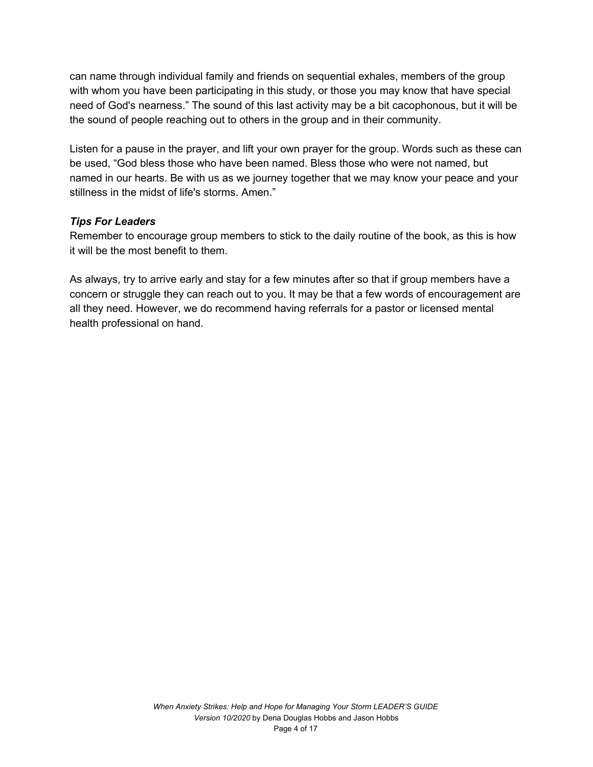can name through individual family and friends on sequential exhales, members of the group with whom you have been participating in this study, or those you may know that have special need of God's nearness." The sound of this last activity may be a bit cacophonous, but it will be the sound of people reaching out to others in the group and in their community.

Listen for a pause in the prayer, and lift your own prayer for the group. Words such as these can be used, "God bless those who have been named. Bless those who were not named, but named in our hearts. Be with us as we journey together that we may know your peace and your stillness in the midst of life's storms. Amen."

#### *Tips For Leaders*

Remember to encourage group members to stick to the daily routine of the book, as this is how it will be the most benefit to them.

As always, try to arrive early and stay for a few minutes after so that if group members have a concern or struggle they can reach out to you. It may be that a few words of encouragement are all they need. However, we do recommend having referrals for a pastor or licensed mental health professional on hand.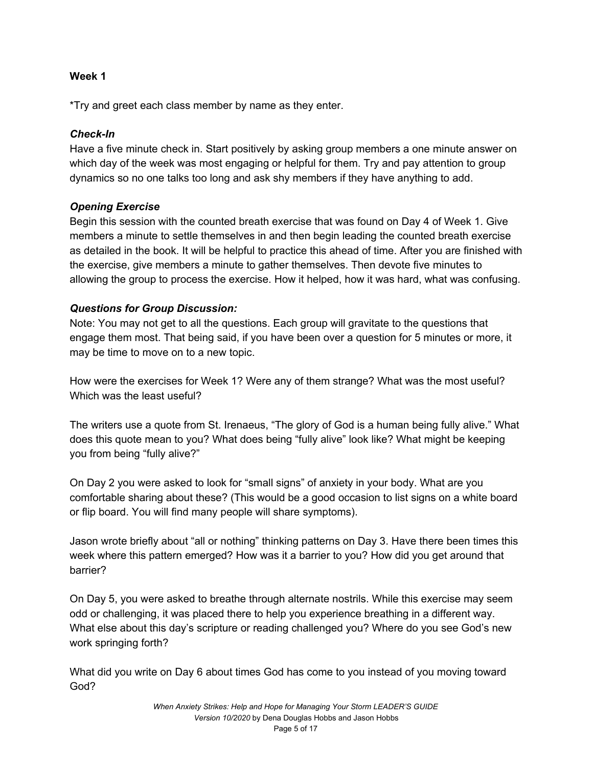\*Try and greet each class member by name as they enter.

## *Check-In*

Have a five minute check in. Start positively by asking group members a one minute answer on which day of the week was most engaging or helpful for them. Try and pay attention to group dynamics so no one talks too long and ask shy members if they have anything to add.

# *Opening Exercise*

Begin this session with the counted breath exercise that was found on Day 4 of Week 1. Give members a minute to settle themselves in and then begin leading the counted breath exercise as detailed in the book. It will be helpful to practice this ahead of time. After you are finished with the exercise, give members a minute to gather themselves. Then devote five minutes to allowing the group to process the exercise. How it helped, how it was hard, what was confusing.

# *Questions for Group Discussion:*

Note: You may not get to all the questions. Each group will gravitate to the questions that engage them most. That being said, if you have been over a question for 5 minutes or more, it may be time to move on to a new topic.

How were the exercises for Week 1? Were any of them strange? What was the most useful? Which was the least useful?

The writers use a quote from St. Irenaeus, "The glory of God is a human being fully alive." What does this quote mean to you? What does being "fully alive" look like? What might be keeping you from being "fully alive?"

On Day 2 you were asked to look for "small signs" of anxiety in your body. What are you comfortable sharing about these? (This would be a good occasion to list signs on a white board or flip board. You will find many people will share symptoms).

Jason wrote briefly about "all or nothing" thinking patterns on Day 3. Have there been times this week where this pattern emerged? How was it a barrier to you? How did you get around that barrier?

On Day 5, you were asked to breathe through alternate nostrils. While this exercise may seem odd or challenging, it was placed there to help you experience breathing in a different way. What else about this day's scripture or reading challenged you? Where do you see God's new work springing forth?

What did you write on Day 6 about times God has come to you instead of you moving toward God?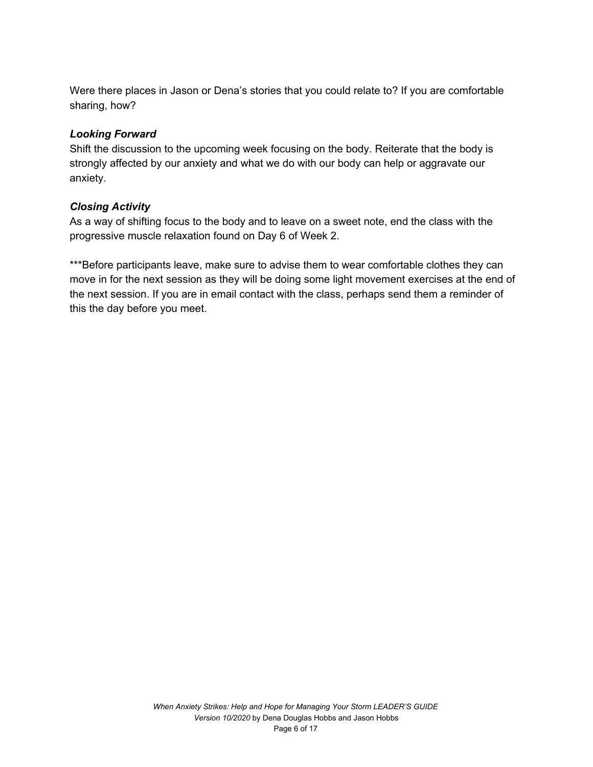Were there places in Jason or Dena's stories that you could relate to? If you are comfortable sharing, how?

#### *Looking Forward*

Shift the discussion to the upcoming week focusing on the body. Reiterate that the body is strongly affected by our anxiety and what we do with our body can help or aggravate our anxiety.

#### *Closing Activity*

As a way of shifting focus to the body and to leave on a sweet note, end the class with the progressive muscle relaxation found on Day 6 of Week 2.

\*\*\*Before participants leave, make sure to advise them to wear comfortable clothes they can move in for the next session as they will be doing some light movement exercises at the end of the next session. If you are in email contact with the class, perhaps send them a reminder of this the day before you meet.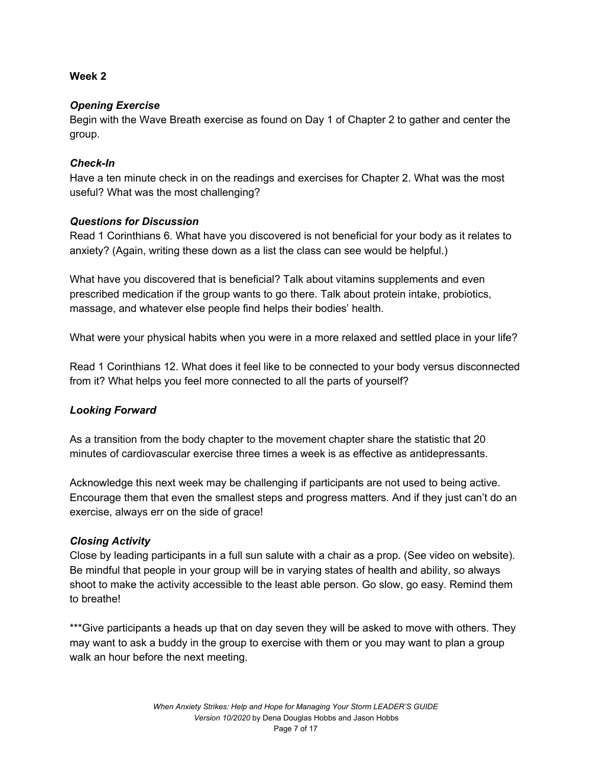## *Opening Exercise*

Begin with the Wave Breath exercise as found on Day 1 of Chapter 2 to gather and center the group.

## *Check-In*

Have a ten minute check in on the readings and exercises for Chapter 2. What was the most useful? What was the most challenging?

## *Questions for Discussion*

Read 1 Corinthians 6. What have you discovered is not beneficial for your body as it relates to anxiety? (Again, writing these down as a list the class can see would be helpful.)

What have you discovered that is beneficial? Talk about vitamins supplements and even prescribed medication if the group wants to go there. Talk about protein intake, probiotics, massage, and whatever else people find helps their bodies' health.

What were your physical habits when you were in a more relaxed and settled place in your life?

Read 1 Corinthians 12. What does it feel like to be connected to your body versus disconnected from it? What helps you feel more connected to all the parts of yourself?

# *Looking Forward*

As a transition from the body chapter to the movement chapter share the statistic that 20 minutes of cardiovascular exercise three times a week is as effective as antidepressants.

Acknowledge this next week may be challenging if participants are not used to being active. Encourage them that even the smallest steps and progress matters. And if they just can't do an exercise, always err on the side of grace!

# *Closing Activity*

Close by leading participants in a full sun salute with a chair as a prop. (See video on website). Be mindful that people in your group will be in varying states of health and ability, so always shoot to make the activity accessible to the least able person. Go slow, go easy. Remind them to breathe!

\*\*\*Give participants a heads up that on day seven they will be asked to move with others. They may want to ask a buddy in the group to exercise with them or you may want to plan a group walk an hour before the next meeting.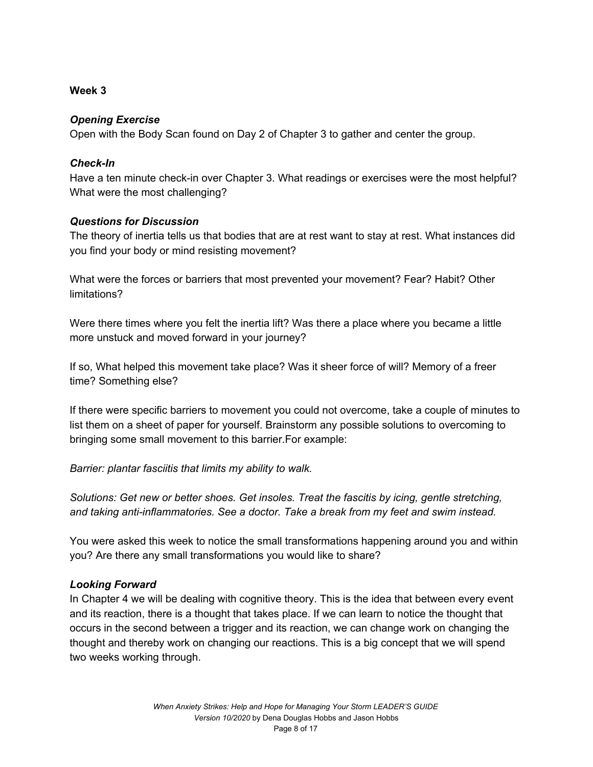## *Opening Exercise*

Open with the Body Scan found on Day 2 of Chapter 3 to gather and center the group.

## *Check-In*

Have a ten minute check-in over Chapter 3. What readings or exercises were the most helpful? What were the most challenging?

## *Questions for Discussion*

The theory of inertia tells us that bodies that are at rest want to stay at rest. What instances did you find your body or mind resisting movement?

What were the forces or barriers that most prevented your movement? Fear? Habit? Other limitations?

Were there times where you felt the inertia lift? Was there a place where you became a little more unstuck and moved forward in your journey?

If so, What helped this movement take place? Was it sheer force of will? Memory of a freer time? Something else?

If there were specific barriers to movement you could not overcome, take a couple of minutes to list them on a sheet of paper for yourself. Brainstorm any possible solutions to overcoming to bringing some small movement to this barrier.For example:

*Barrier: plantar fasciitis that limits my ability to walk.*

*Solutions: Get new or better shoes. Get insoles. Treat the fascitis by icing, gentle stretching, and taking anti-inflammatories. See a doctor. Take a break from my feet and swim instead.*

You were asked this week to notice the small transformations happening around you and within you? Are there any small transformations you would like to share?

# *Looking Forward*

In Chapter 4 we will be dealing with cognitive theory. This is the idea that between every event and its reaction, there is a thought that takes place. If we can learn to notice the thought that occurs in the second between a trigger and its reaction, we can change work on changing the thought and thereby work on changing our reactions. This is a big concept that we will spend two weeks working through.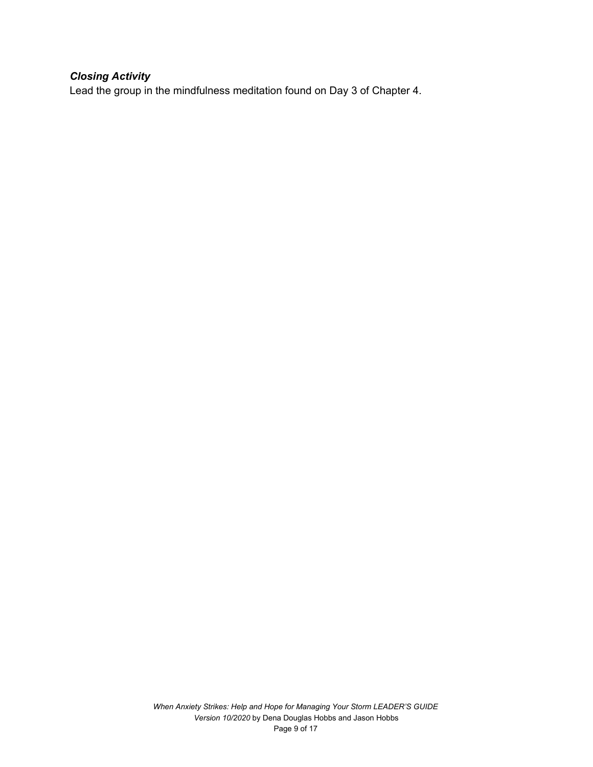# *Closing Activity*

Lead the group in the mindfulness meditation found on Day 3 of Chapter 4.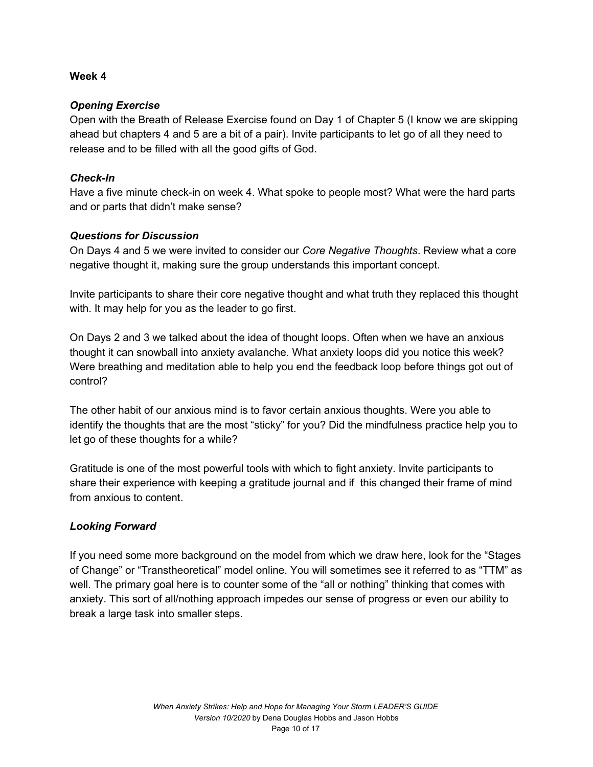# *Opening Exercise*

Open with the Breath of Release Exercise found on Day 1 of Chapter 5 (I know we are skipping ahead but chapters 4 and 5 are a bit of a pair). Invite participants to let go of all they need to release and to be filled with all the good gifts of God.

# *Check-In*

Have a five minute check-in on week 4. What spoke to people most? What were the hard parts and or parts that didn't make sense?

# *Questions for Discussion*

On Days 4 and 5 we were invited to consider our *Core Negative Thoughts*. Review what a core negative thought it, making sure the group understands this important concept.

Invite participants to share their core negative thought and what truth they replaced this thought with. It may help for you as the leader to go first.

On Days 2 and 3 we talked about the idea of thought loops. Often when we have an anxious thought it can snowball into anxiety avalanche. What anxiety loops did you notice this week? Were breathing and meditation able to help you end the feedback loop before things got out of control?

The other habit of our anxious mind is to favor certain anxious thoughts. Were you able to identify the thoughts that are the most "sticky" for you? Did the mindfulness practice help you to let go of these thoughts for a while?

Gratitude is one of the most powerful tools with which to fight anxiety. Invite participants to share their experience with keeping a gratitude journal and if this changed their frame of mind from anxious to content.

# *Looking Forward*

If you need some more background on the model from which we draw here, look for the "Stages of Change" or "Transtheoretical" model online. You will sometimes see it referred to as "TTM" as well. The primary goal here is to counter some of the "all or nothing" thinking that comes with anxiety. This sort of all/nothing approach impedes our sense of progress or even our ability to break a large task into smaller steps.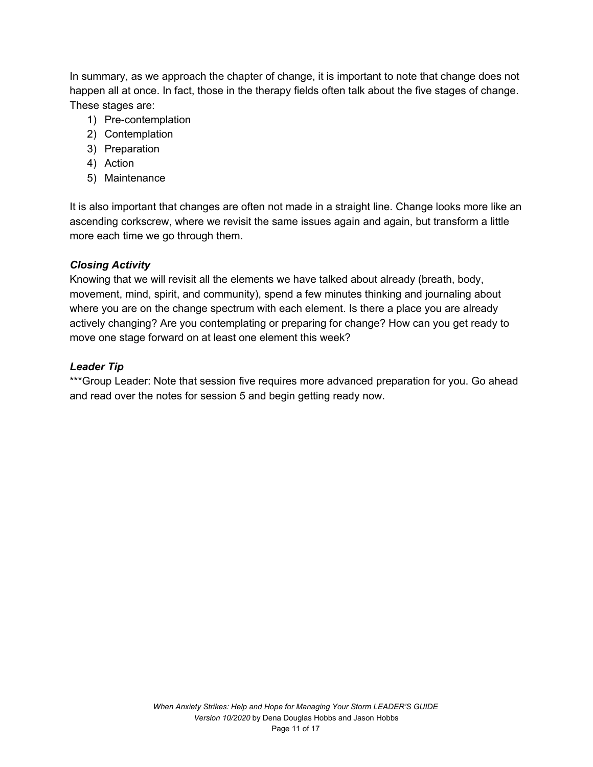In summary, as we approach the chapter of change, it is important to note that change does not happen all at once. In fact, those in the therapy fields often talk about the five stages of change. These stages are:

- 1) Pre-contemplation
- 2) Contemplation
- 3) Preparation
- 4) Action
- 5) Maintenance

It is also important that changes are often not made in a straight line. Change looks more like an ascending corkscrew, where we revisit the same issues again and again, but transform a little more each time we go through them.

# *Closing Activity*

Knowing that we will revisit all the elements we have talked about already (breath, body, movement, mind, spirit, and community), spend a few minutes thinking and journaling about where you are on the change spectrum with each element. Is there a place you are already actively changing? Are you contemplating or preparing for change? How can you get ready to move one stage forward on at least one element this week?

# *Leader Tip*

\*\*\*Group Leader: Note that session five requires more advanced preparation for you. Go ahead and read over the notes for session 5 and begin getting ready now.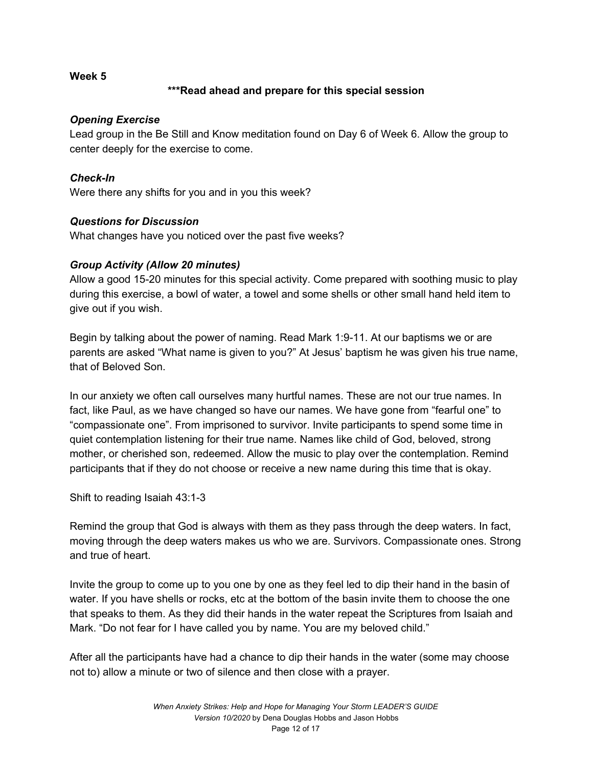# **\*\*\*Read ahead and prepare for this special session**

# *Opening Exercise*

Lead group in the Be Still and Know meditation found on Day 6 of Week 6. Allow the group to center deeply for the exercise to come.

# *Check-In*

Were there any shifts for you and in you this week?

# *Questions for Discussion*

What changes have you noticed over the past five weeks?

# *Group Activity (Allow 20 minutes)*

Allow a good 15-20 minutes for this special activity. Come prepared with soothing music to play during this exercise, a bowl of water, a towel and some shells or other small hand held item to give out if you wish.

Begin by talking about the power of naming. Read Mark 1:9-11. At our baptisms we or are parents are asked "What name is given to you?" At Jesus' baptism he was given his true name, that of Beloved Son.

In our anxiety we often call ourselves many hurtful names. These are not our true names. In fact, like Paul, as we have changed so have our names. We have gone from "fearful one" to "compassionate one". From imprisoned to survivor. Invite participants to spend some time in quiet contemplation listening for their true name. Names like child of God, beloved, strong mother, or cherished son, redeemed. Allow the music to play over the contemplation. Remind participants that if they do not choose or receive a new name during this time that is okay.

Shift to reading Isaiah 43:1-3

Remind the group that God is always with them as they pass through the deep waters. In fact, moving through the deep waters makes us who we are. Survivors. Compassionate ones. Strong and true of heart.

Invite the group to come up to you one by one as they feel led to dip their hand in the basin of water. If you have shells or rocks, etc at the bottom of the basin invite them to choose the one that speaks to them. As they did their hands in the water repeat the Scriptures from Isaiah and Mark. "Do not fear for I have called you by name. You are my beloved child."

After all the participants have had a chance to dip their hands in the water (some may choose not to) allow a minute or two of silence and then close with a prayer.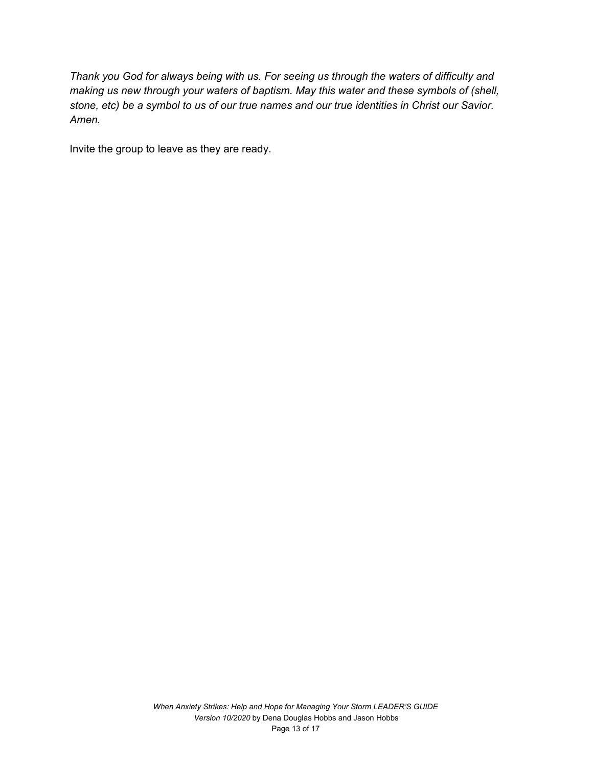*Thank you God for always being with us. For seeing us through the waters of difficulty and making us new through your waters of baptism. May this water and these symbols of (shell,* stone, etc) be a symbol to us of our true names and our true identities in Christ our Savior. *Amen.*

Invite the group to leave as they are ready.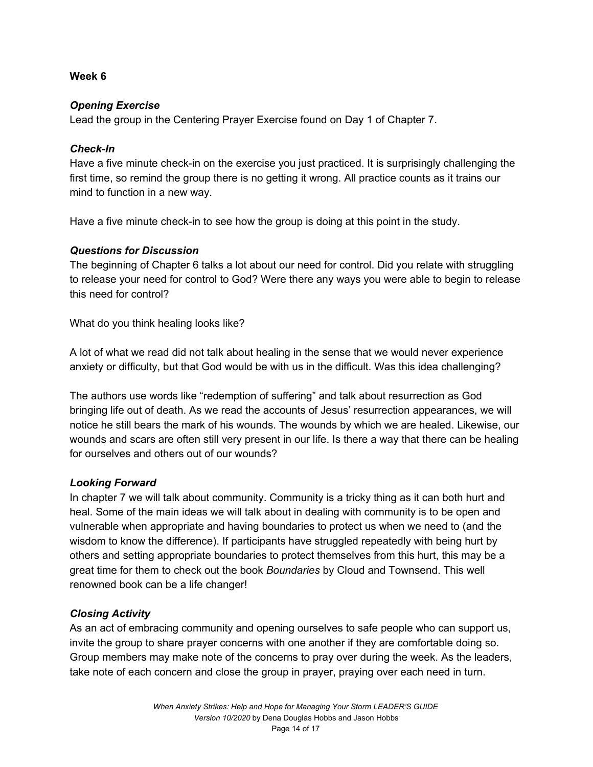## *Opening Exercise*

Lead the group in the Centering Prayer Exercise found on Day 1 of Chapter 7.

## *Check-In*

Have a five minute check-in on the exercise you just practiced. It is surprisingly challenging the first time, so remind the group there is no getting it wrong. All practice counts as it trains our mind to function in a new way.

Have a five minute check-in to see how the group is doing at this point in the study.

# *Questions for Discussion*

The beginning of Chapter 6 talks a lot about our need for control. Did you relate with struggling to release your need for control to God? Were there any ways you were able to begin to release this need for control?

What do you think healing looks like?

A lot of what we read did not talk about healing in the sense that we would never experience anxiety or difficulty, but that God would be with us in the difficult. Was this idea challenging?

The authors use words like "redemption of suffering" and talk about resurrection as God bringing life out of death. As we read the accounts of Jesus' resurrection appearances, we will notice he still bears the mark of his wounds. The wounds by which we are healed. Likewise, our wounds and scars are often still very present in our life. Is there a way that there can be healing for ourselves and others out of our wounds?

# *Looking Forward*

In chapter 7 we will talk about community. Community is a tricky thing as it can both hurt and heal. Some of the main ideas we will talk about in dealing with community is to be open and vulnerable when appropriate and having boundaries to protect us when we need to (and the wisdom to know the difference). If participants have struggled repeatedly with being hurt by others and setting appropriate boundaries to protect themselves from this hurt, this may be a great time for them to check out the book *Boundaries* by Cloud and Townsend. This well renowned book can be a life changer!

# *Closing Activity*

As an act of embracing community and opening ourselves to safe people who can support us, invite the group to share prayer concerns with one another if they are comfortable doing so. Group members may make note of the concerns to pray over during the week. As the leaders, take note of each concern and close the group in prayer, praying over each need in turn.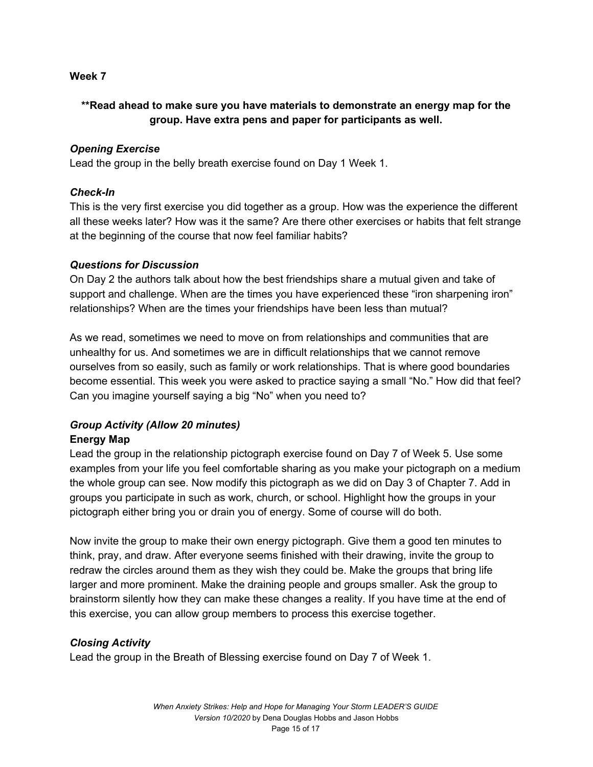# **\*\*Read ahead to make sure you have materials to demonstrate an energy map for the group. Have extra pens and paper for participants as well.**

#### *Opening Exercise*

Lead the group in the belly breath exercise found on Day 1 Week 1.

#### *Check-In*

This is the very first exercise you did together as a group. How was the experience the different all these weeks later? How was it the same? Are there other exercises or habits that felt strange at the beginning of the course that now feel familiar habits?

#### *Questions for Discussion*

On Day 2 the authors talk about how the best friendships share a mutual given and take of support and challenge. When are the times you have experienced these "iron sharpening iron" relationships? When are the times your friendships have been less than mutual?

As we read, sometimes we need to move on from relationships and communities that are unhealthy for us. And sometimes we are in difficult relationships that we cannot remove ourselves from so easily, such as family or work relationships. That is where good boundaries become essential. This week you were asked to practice saying a small "No." How did that feel? Can you imagine yourself saying a big "No" when you need to?

## *Group Activity (Allow 20 minutes)* **Energy Map**

Lead the group in the relationship pictograph exercise found on Day 7 of Week 5. Use some examples from your life you feel comfortable sharing as you make your pictograph on a medium the whole group can see. Now modify this pictograph as we did on Day 3 of Chapter 7. Add in groups you participate in such as work, church, or school. Highlight how the groups in your pictograph either bring you or drain you of energy. Some of course will do both.

Now invite the group to make their own energy pictograph. Give them a good ten minutes to think, pray, and draw. After everyone seems finished with their drawing, invite the group to redraw the circles around them as they wish they could be. Make the groups that bring life larger and more prominent. Make the draining people and groups smaller. Ask the group to brainstorm silently how they can make these changes a reality. If you have time at the end of this exercise, you can allow group members to process this exercise together.

#### *Closing Activity*

Lead the group in the Breath of Blessing exercise found on Day 7 of Week 1.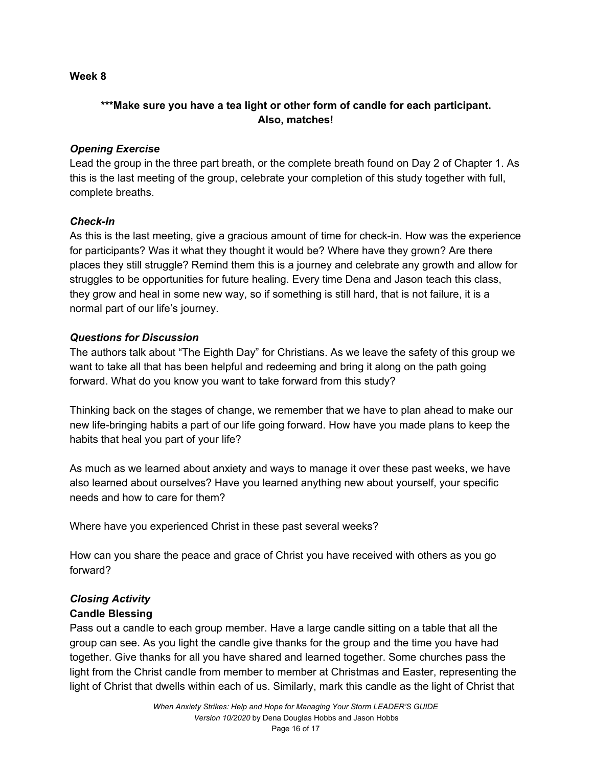# **\*\*\*Make sure you have a tea light or other form of candle for each participant. Also, matches!**

## *Opening Exercise*

Lead the group in the three part breath, or the complete breath found on Day 2 of Chapter 1. As this is the last meeting of the group, celebrate your completion of this study together with full, complete breaths.

## *Check-In*

As this is the last meeting, give a gracious amount of time for check-in. How was the experience for participants? Was it what they thought it would be? Where have they grown? Are there places they still struggle? Remind them this is a journey and celebrate any growth and allow for struggles to be opportunities for future healing. Every time Dena and Jason teach this class, they grow and heal in some new way, so if something is still hard, that is not failure, it is a normal part of our life's journey.

## *Questions for Discussion*

The authors talk about "The Eighth Day" for Christians. As we leave the safety of this group we want to take all that has been helpful and redeeming and bring it along on the path going forward. What do you know you want to take forward from this study?

Thinking back on the stages of change, we remember that we have to plan ahead to make our new life-bringing habits a part of our life going forward. How have you made plans to keep the habits that heal you part of your life?

As much as we learned about anxiety and ways to manage it over these past weeks, we have also learned about ourselves? Have you learned anything new about yourself, your specific needs and how to care for them?

Where have you experienced Christ in these past several weeks?

How can you share the peace and grace of Christ you have received with others as you go forward?

# *Closing Activity*

# **Candle Blessing**

Pass out a candle to each group member. Have a large candle sitting on a table that all the group can see. As you light the candle give thanks for the group and the time you have had together. Give thanks for all you have shared and learned together. Some churches pass the light from the Christ candle from member to member at Christmas and Easter, representing the light of Christ that dwells within each of us. Similarly, mark this candle as the light of Christ that